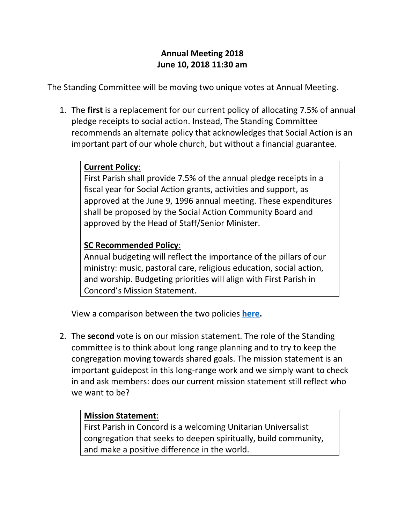## **Annual Meeting 2018 June 10, 2018 11:30 am**

The Standing Committee will be moving two unique votes at Annual Meeting.

1. The **first** is a replacement for our current policy of allocating 7.5% of annual pledge receipts to social action. Instead, The Standing Committee recommends an alternate policy that acknowledges that Social Action is an important part of our whole church, but without a financial guarantee.

## **Current Policy**:

First Parish shall provide 7.5% of the annual pledge receipts in a fiscal year for Social Action grants, activities and support, as approved at the June 9, 1996 annual meeting. These expenditures shall be proposed by the Social Action Community Board and approved by the Head of Staff/Senior Minister.

## **SC Recommended Policy**:

Annual budgeting will reflect the importance of the pillars of our ministry: music, pastoral care, religious education, social action, and worship. Budgeting priorities will align with First Parish in Concord's Mission Statement.

View a comparison between the two policies **[here.](http://firstparish.org/wp/wp-content/uploads/2018/05/7.5_funding_comparison.pdf)**

2. The **second** vote is on our mission statement. The role of the Standing committee is to think about long range planning and to try to keep the congregation moving towards shared goals. The mission statement is an important guidepost in this long-range work and we simply want to check in and ask members: does our current mission statement still reflect who we want to be?

## **Mission Statement**:

First Parish in Concord is a welcoming Unitarian Universalist congregation that seeks to deepen spiritually, build community, and make a positive difference in the world.